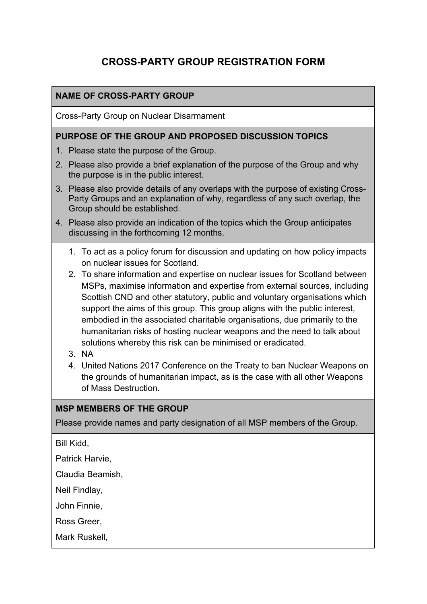# **CROSS-PARTY GROUP REGISTRATION FORM**

### **NAME OF CROSS-PARTY GROUP**

Cross-Party Group on Nuclear Disarmament

#### **PURPOSE OF THE GROUP AND PROPOSED DISCUSSION TOPICS**

- 1. Please state the purpose of the Group.
- 2. Please also provide a brief explanation of the purpose of the Group and why the purpose is in the public interest.
- 3. Please also provide details of any overlaps with the purpose of existing Cross-Party Groups and an explanation of why, regardless of any such overlap, the Group should be established.
- 4. Please also provide an indication of the topics which the Group anticipates discussing in the forthcoming 12 months.
	- 1. To act as a policy forum for discussion and updating on how policy impacts on nuclear issues for Scotland.
	- 2. To share information and expertise on nuclear issues for Scotland between MSPs, maximise information and expertise from external sources, including Scottish CND and other statutory, public and voluntary organisations which support the aims of this group. This group aligns with the public interest, embodied in the associated charitable organisations, due primarily to the humanitarian risks of hosting nuclear weapons and the need to talk about solutions whereby this risk can be minimised or eradicated.
	- 3. NA
	- 4. United Nations 2017 Conference on the Treaty to ban Nuclear Weapons on the grounds of humanitarian impact, as is the case with all other Weapons of Mass Destruction.

#### **MSP MEMBERS OF THE GROUP**

Please provide names and party designation of all MSP members of the Group.

Bill Kidd,

Patrick Harvie,

Claudia Beamish,

Neil Findlay,

John Finnie,

Ross Greer,

Mark Ruskell,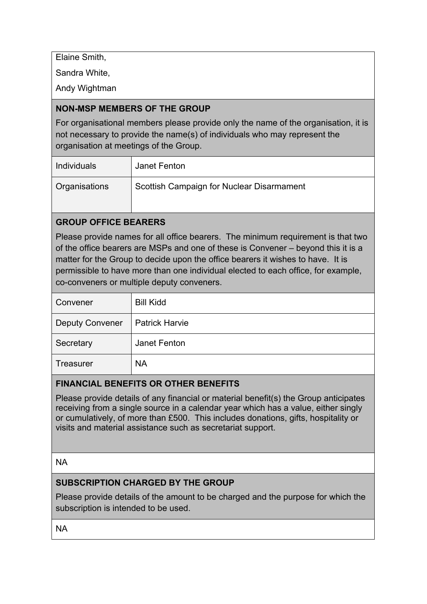Elaine Smith,

Sandra White,

Andy Wightman

# **NON-MSP MEMBERS OF THE GROUP**

For organisational members please provide only the name of the organisation, it is not necessary to provide the name(s) of individuals who may represent the organisation at meetings of the Group.

| Individuals          | Janet Fenton                              |
|----------------------|-------------------------------------------|
| <b>Organisations</b> | Scottish Campaign for Nuclear Disarmament |

# **GROUP OFFICE BEARERS**

Please provide names for all office bearers. The minimum requirement is that two of the office bearers are MSPs and one of these is Convener – beyond this it is a matter for the Group to decide upon the office bearers it wishes to have. It is permissible to have more than one individual elected to each office, for example, co-conveners or multiple deputy conveners.

| Convener               | <b>Bill Kidd</b>      |
|------------------------|-----------------------|
| <b>Deputy Convener</b> | <b>Patrick Harvie</b> |
| Secretary              | Janet Fenton          |
| <b>Treasurer</b>       | <b>NA</b>             |

# **FINANCIAL BENEFITS OR OTHER BENEFITS**

Please provide details of any financial or material benefit(s) the Group anticipates receiving from a single source in a calendar year which has a value, either singly or cumulatively, of more than £500. This includes donations, gifts, hospitality or visits and material assistance such as secretariat support.

### NA

# **SUBSCRIPTION CHARGED BY THE GROUP**

Please provide details of the amount to be charged and the purpose for which the subscription is intended to be used.

NA